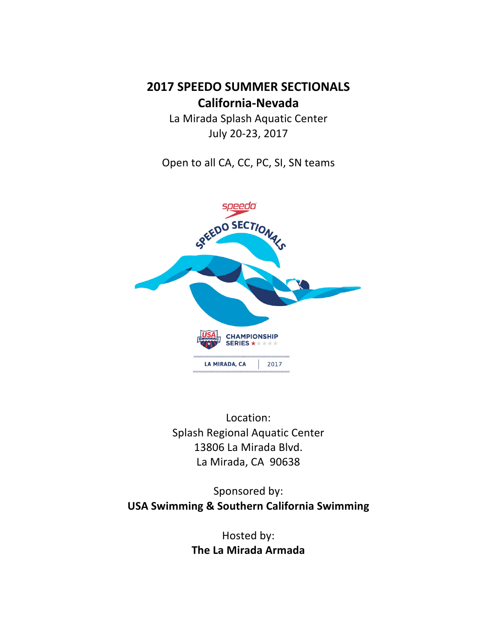**2017 SPEEDO SUMMER SECTIONALS California-Nevada**

> La Mirada Splash Aquatic Center July 20-23, 2017

Open to all CA, CC, PC, SI, SN teams



Location: Splash Regional Aquatic Center 13806 La Mirada Blvd. La Mirada, CA 90638

Sponsored by: **USA Swimming & Southern California Swimming** 

> Hosted by: **The La Mirada Armada**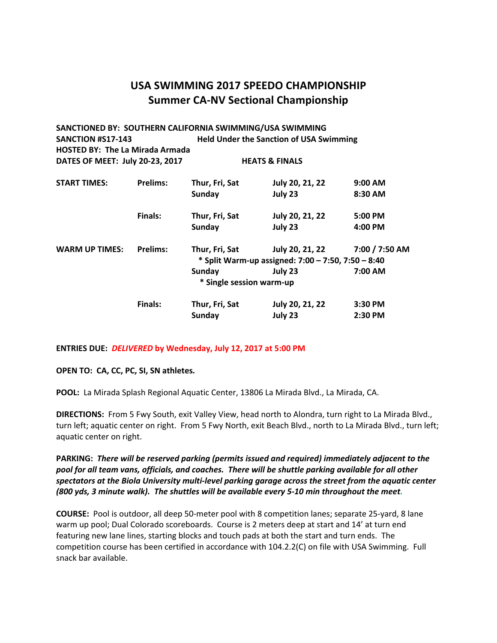| SANCTIONED BY: SOUTHERN CALIFORNIA SWIMMING/USA SWIMMING |                 |                                                    |                                                |                |  |  |
|----------------------------------------------------------|-----------------|----------------------------------------------------|------------------------------------------------|----------------|--|--|
| <b>SANCTION #S17-143</b>                                 |                 |                                                    | <b>Held Under the Sanction of USA Swimming</b> |                |  |  |
| <b>HOSTED BY: The La Mirada Armada</b>                   |                 |                                                    |                                                |                |  |  |
| DATES OF MEET: July 20-23, 2017                          |                 |                                                    | <b>HEATS &amp; FINALS</b>                      |                |  |  |
| <b>START TIMES:</b>                                      | <b>Prelims:</b> | Thur, Fri, Sat                                     | July 20, 21, 22                                | $9:00$ AM      |  |  |
|                                                          |                 | Sunday                                             | July 23                                        | 8:30 AM        |  |  |
|                                                          | Finals:         | Thur, Fri, Sat                                     | July 20, 21, 22                                | 5:00 PM        |  |  |
|                                                          |                 | Sunday                                             | July 23                                        | 4:00 PM        |  |  |
| <b>WARM UP TIMES:</b>                                    | <b>Prelims:</b> | Thur, Fri, Sat                                     | July 20, 21, 22                                | 7:00 / 7:50 AM |  |  |
|                                                          |                 | * Split Warm-up assigned: 7:00 - 7:50, 7:50 - 8:40 |                                                |                |  |  |
|                                                          |                 | Sunday                                             | July 23                                        | 7:00 AM        |  |  |
|                                                          |                 | * Single session warm-up                           |                                                |                |  |  |
|                                                          | <b>Finals:</b>  | Thur, Fri, Sat                                     | July 20, 21, 22                                | 3:30 PM        |  |  |
|                                                          |                 | Sunday                                             | July 23                                        | 2:30 PM        |  |  |

#### **ENTRIES DUE: DELIVERED by Wednesday, July 12, 2017 at 5:00 PM**

**OPEN TO: CA, CC, PC, SI, SN athletes.** 

POOL: La Mirada Splash Regional Aquatic Center, 13806 La Mirada Blvd., La Mirada, CA.

**DIRECTIONS:** From 5 Fwy South, exit Valley View, head north to Alondra, turn right to La Mirada Blvd., turn left; aquatic center on right. From 5 Fwy North, exit Beach Blvd., north to La Mirada Blvd., turn left; aquatic center on right.

PARKING: There will be reserved parking (permits issued and required) immediately adjacent to the pool for all team vans, officials, and coaches. There will be shuttle parking available for all other spectators at the Biola University multi-level parking garage across the street from the aquatic center (800 yds, 3 minute walk). The shuttles will be available every 5-10 min throughout the meet.

**COURSE:** Pool is outdoor, all deep 50-meter pool with 8 competition lanes; separate 25-yard, 8 lane warm up pool; Dual Colorado scoreboards. Course is 2 meters deep at start and 14' at turn end featuring new lane lines, starting blocks and touch pads at both the start and turn ends. The competition course has been certified in accordance with 104.2.2(C) on file with USA Swimming. Full snack bar available.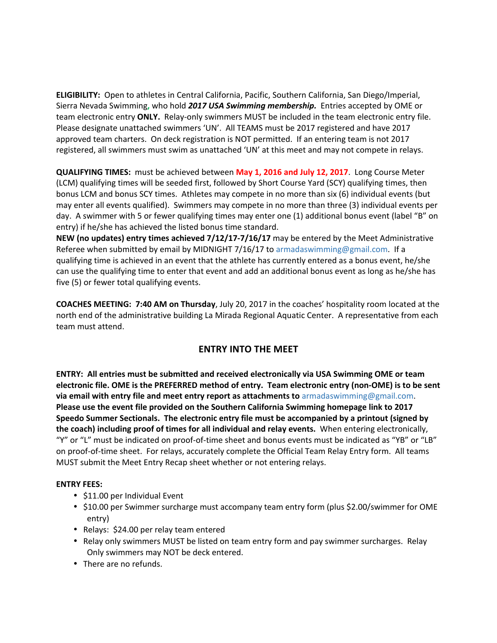**ELIGIBILITY:** Open to athletes in Central California, Pacific, Southern California, San Diego/Imperial, Sierra Nevada Swimming, who hold 2017 USA Swimming membership. Entries accepted by OME or team electronic entry **ONLY.** Relay-only swimmers MUST be included in the team electronic entry file. Please designate unattached swimmers 'UN'. All TEAMS must be 2017 registered and have 2017 approved team charters. On deck registration is NOT permitted. If an entering team is not 2017 registered, all swimmers must swim as unattached 'UN' at this meet and may not compete in relays.

**QUALIFYING TIMES:** must be achieved between **May 1, 2016 and July 12, 2017**. Long Course Meter (LCM) qualifying times will be seeded first, followed by Short Course Yard (SCY) qualifying times, then bonus LCM and bonus SCY times. Athletes may compete in no more than six (6) individual events (but may enter all events qualified). Swimmers may compete in no more than three (3) individual events per day. A swimmer with 5 or fewer qualifying times may enter one (1) additional bonus event (label "B" on entry) if he/she has achieved the listed bonus time standard.

**NEW** (no updates) entry times achieved 7/12/17-7/16/17 may be entered by the Meet Administrative Referee when submitted by email by MIDNIGHT 7/16/17 to armadaswimming@gmail.com. If a qualifying time is achieved in an event that the athlete has currently entered as a bonus event, he/she can use the qualifying time to enter that event and add an additional bonus event as long as he/she has five (5) or fewer total qualifying events.

**COACHES MEETING: 7:40 AM on Thursday**, July 20, 2017 in the coaches' hospitality room located at the north end of the administrative building La Mirada Regional Aquatic Center. A representative from each team must attend.

## **ENTRY INTO THE MEET**

**ENTRY:** All entries must be submitted and received electronically via USA Swimming OME or team electronic file. OME is the PREFERRED method of entry. Team electronic entry (non-OME) is to be sent via email with entry file and meet entry report as attachments to armadaswimming@gmail.com. **Please use the event file provided on the Southern California Swimming homepage link to 2017 Speedo Summer Sectionals. The electronic entry file must be accompanied by a printout (signed by the coach) including proof of times for all individual and relay events.** When entering electronically, "Y" or "L" must be indicated on proof-of-time sheet and bonus events must be indicated as "YB" or "LB" on proof-of-time sheet. For relays, accurately complete the Official Team Relay Entry form. All teams MUST submit the Meet Entry Recap sheet whether or not entering relays.

#### **ENTRY FEES:**

- \$11.00 per Individual Event
- \$10.00 per Swimmer surcharge must accompany team entry form (plus \$2.00/swimmer for OME entry)
- Relays: \$24.00 per relay team entered
- Relay only swimmers MUST be listed on team entry form and pay swimmer surcharges. Relay Only swimmers may NOT be deck entered.
- There are no refunds.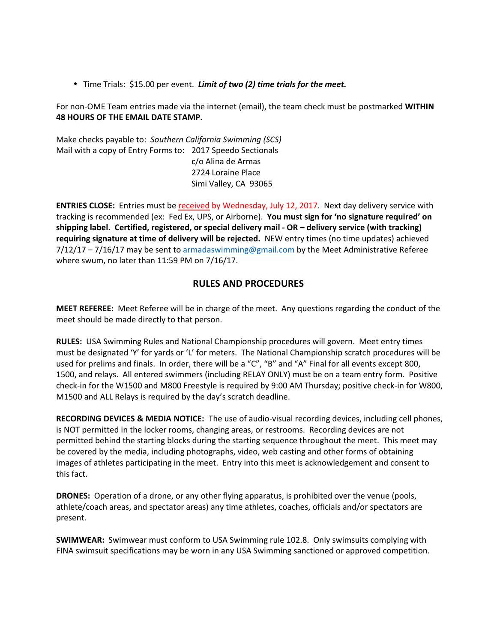• Time Trials: \$15.00 per event. *Limit of two (2) time trials for the meet.* 

For non-OME Team entries made via the internet (email), the team check must be postmarked WITHIN **48 HOURS OF THE EMAIL DATE STAMP.** 

Make checks payable to: Southern California Swimming (SCS) Mail with a copy of Entry Forms to: 2017 Speedo Sectionals c/o Alina de Armas 2724 Loraine Place Simi Valley, CA 93065

**ENTRIES CLOSE:** Entries must be received by Wednesday, July 12, 2017. Next day delivery service with tracking is recommended (ex: Fed Ex, UPS, or Airborne). You must sign for 'no signature required' on shipping label. Certified, registered, or special delivery mail - OR - delivery service (with tracking) requiring signature at time of delivery will be rejected. NEW entry times (no time updates) achieved  $7/12/17 - 7/16/17$  may be sent to armadaswimming@gmail.com by the Meet Administrative Referee where swum, no later than  $11:59$  PM on  $7/16/17$ .

### **RULES AND PROCEDURES**

**MEET REFEREE:** Meet Referee will be in charge of the meet. Any questions regarding the conduct of the meet should be made directly to that person.

**RULES:** USA Swimming Rules and National Championship procedures will govern. Meet entry times must be designated 'Y' for yards or 'L' for meters. The National Championship scratch procedures will be used for prelims and finals. In order, there will be a "C", "B" and "A" Final for all events except 800, 1500, and relays. All entered swimmers (including RELAY ONLY) must be on a team entry form. Positive check-in for the W1500 and M800 Freestyle is required by 9:00 AM Thursday; positive check-in for W800, M1500 and ALL Relays is required by the day's scratch deadline.

**RECORDING DEVICES & MEDIA NOTICE:** The use of audio-visual recording devices, including cell phones, is NOT permitted in the locker rooms, changing areas, or restrooms. Recording devices are not permitted behind the starting blocks during the starting sequence throughout the meet. This meet may be covered by the media, including photographs, video, web casting and other forms of obtaining images of athletes participating in the meet. Entry into this meet is acknowledgement and consent to this fact.

**DRONES:** Operation of a drone, or any other flying apparatus, is prohibited over the venue (pools, athlete/coach areas, and spectator areas) any time athletes, coaches, officials and/or spectators are present.

**SWIMWEAR:** Swimwear must conform to USA Swimming rule 102.8. Only swimsuits complying with FINA swimsuit specifications may be worn in any USA Swimming sanctioned or approved competition.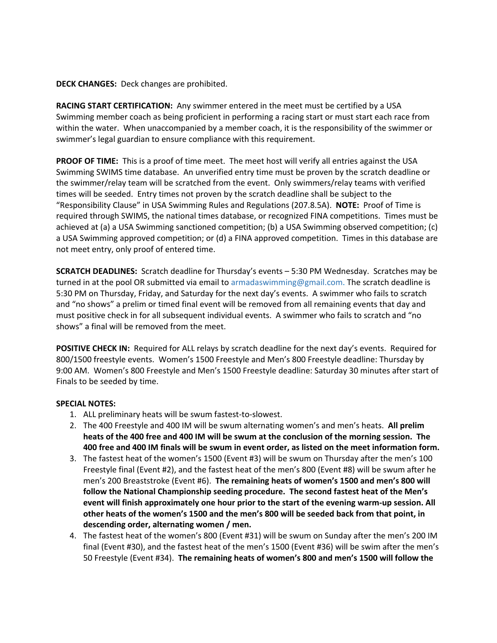#### **DECK CHANGES:** Deck changes are prohibited.

**RACING START CERTIFICATION:** Any swimmer entered in the meet must be certified by a USA Swimming member coach as being proficient in performing a racing start or must start each race from within the water. When unaccompanied by a member coach, it is the responsibility of the swimmer or swimmer's legal guardian to ensure compliance with this requirement.

**PROOF OF TIME:** This is a proof of time meet. The meet host will verify all entries against the USA Swimming SWIMS time database. An unverified entry time must be proven by the scratch deadline or the swimmer/relay team will be scratched from the event. Only swimmers/relay teams with verified times will be seeded. Entry times not proven by the scratch deadline shall be subject to the "Responsibility Clause" in USA Swimming Rules and Regulations (207.8.5A). **NOTE:** Proof of Time is required through SWIMS, the national times database, or recognized FINA competitions. Times must be achieved at (a) a USA Swimming sanctioned competition; (b) a USA Swimming observed competition; (c) a USA Swimming approved competition; or (d) a FINA approved competition. Times in this database are not meet entry, only proof of entered time.

**SCRATCH DEADLINES:** Scratch deadline for Thursday's events - 5:30 PM Wednesday. Scratches may be turned in at the pool OR submitted via email to armadaswimming@gmail.com. The scratch deadline is 5:30 PM on Thursday, Friday, and Saturday for the next day's events. A swimmer who fails to scratch and "no shows" a prelim or timed final event will be removed from all remaining events that day and must positive check in for all subsequent individual events. A swimmer who fails to scratch and "no shows" a final will be removed from the meet.

**POSITIVE CHECK IN:** Required for ALL relays by scratch deadline for the next day's events. Required for 800/1500 freestyle events. Women's 1500 Freestyle and Men's 800 Freestyle deadline: Thursday by 9:00 AM. Women's 800 Freestyle and Men's 1500 Freestyle deadline: Saturday 30 minutes after start of Finals to be seeded by time.

#### **SPECIAL NOTES:**

- 1. ALL preliminary heats will be swum fastest-to-slowest.
- 2. The 400 Freestyle and 400 IM will be swum alternating women's and men's heats. All prelim heats of the 400 free and 400 IM will be swum at the conclusion of the morning session. The **400 free and 400 IM finals will be swum in event order, as listed on the meet information form.**
- 3. The fastest heat of the women's 1500 (Event #3) will be swum on Thursday after the men's 100 Freestyle final (Event #2), and the fastest heat of the men's 800 (Event #8) will be swum after he men's 200 Breaststroke (Event #6). The remaining heats of women's 1500 and men's 800 will follow the National Championship seeding procedure. The second fastest heat of the Men's event will finish approximately one hour prior to the start of the evening warm-up session. All other heats of the women's 1500 and the men's 800 will be seeded back from that point, in descending order, alternating women / men.
- 4. The fastest heat of the women's 800 (Event #31) will be swum on Sunday after the men's 200 IM final (Event #30), and the fastest heat of the men's 1500 (Event #36) will be swim after the men's 50 Freestyle (Event #34). The remaining heats of women's 800 and men's 1500 will follow the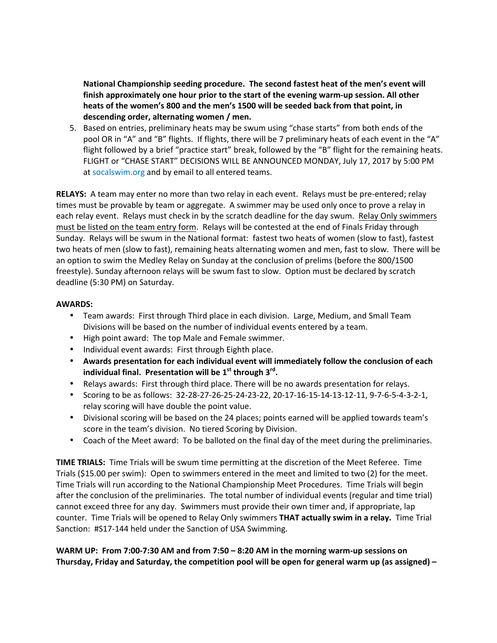National Championship seeding procedure. The second fastest heat of the men's event will finish approximately one hour prior to the start of the evening warm-up session. All other heats of the women's 800 and the men's 1500 will be seeded back from that point, in descending order, alternating women / men.

5. Based on entries, preliminary heats may be swum using "chase starts" from both ends of the pool OR in "A" and "B" flights. If flights, there will be 7 preliminary heats of each event in the "A" flight followed by a brief "practice start" break, followed by the "B" flight for the remaining heats. FLIGHT or "CHASE START" DECISIONS WILL BE ANNOUNCED MONDAY, July 17, 2017 by 5:00 PM at socalswim.org and by email to all entered teams.

**RELAYS:** A team may enter no more than two relay in each event. Relays must be pre-entered; relay times must be provable by team or aggregate. A swimmer may be used only once to prove a relay in each relay event. Relays must check in by the scratch deadline for the day swum. Relay Only swimmers must be listed on the team entry form. Relays will be contested at the end of Finals Friday through Sunday. Relays will be swum in the National format: fastest two heats of women (slow to fast), fastest two heats of men (slow to fast), remaining heats alternating women and men, fast to slow. There will be an option to swim the Medley Relay on Sunday at the conclusion of prelims (before the 800/1500 freestyle). Sunday afternoon relays will be swum fast to slow. Option must be declared by scratch deadline (5:30 PM) on Saturday.

#### **AWARDS:**

- Team awards: First through Third place in each division. Large, Medium, and Small Team Divisions will be based on the number of individual events entered by a team.
- High point award: The top Male and Female swimmer.
- Individual event awards: First through Eighth place.
- Awards presentation for each individual event will immediately follow the conclusion of each **individual final.** Presentation will be  $1<sup>st</sup>$  through  $3<sup>rd</sup>$ .
- Relays awards: First through third place. There will be no awards presentation for relays.
- Scoring to be as follows:  $32-28-27-26-25-24-23-22$ ,  $20-17-16-15-14-13-12-11$ ,  $9-7-6-5-4-3-2-1$ , relay scoring will have double the point value.
- Divisional scoring will be based on the 24 places; points earned will be applied towards team's score in the team's division. No tiered Scoring by Division.
- Coach of the Meet award: To be balloted on the final day of the meet during the preliminaries.

**TIME TRIALS:** Time Trials will be swum time permitting at the discretion of the Meet Referee. Time Trials  $(515.00$  per swim): Open to swimmers entered in the meet and limited to two  $(2)$  for the meet. Time Trials will run according to the National Championship Meet Procedures. Time Trials will begin after the conclusion of the preliminaries. The total number of individual events (regular and time trial) cannot exceed three for any day. Swimmers must provide their own timer and, if appropriate, lap counter. Time Trials will be opened to Relay Only swimmers **THAT actually swim in a relay.** Time Trial Sanction: #S17-144 held under the Sanction of USA Swimming.

**WARM UP: From 7:00-7:30 AM and from 7:50 – 8:20 AM in the morning warm-up sessions on** Thursday, Friday and Saturday, the competition pool will be open for general warm up (as assigned) –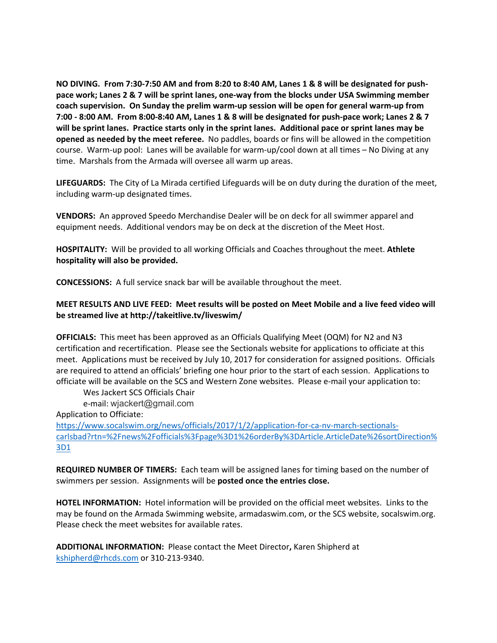NO DIVING. From 7:30-7:50 AM and from 8:20 to 8:40 AM, Lanes 1 & 8 will be designated for pushpace work; Lanes 2 & 7 will be sprint lanes, one-way from the blocks under USA Swimming member coach supervision. On Sunday the prelim warm-up session will be open for general warm-up from **7:00 - 8:00 AM. From 8:00-8:40 AM, Lanes 1 & 8 will be designated for push-pace work; Lanes 2 & 7**  will be sprint lanes. Practice starts only in the sprint lanes. Additional pace or sprint lanes may be **opened as needed by the meet referee.** No paddles, boards or fins will be allowed in the competition course. Warm-up pool: Lanes will be available for warm-up/cool down at all times  $-$  No Diving at any time. Marshals from the Armada will oversee all warm up areas.

LIFEGUARDS: The City of La Mirada certified Lifeguards will be on duty during the duration of the meet, including warm-up designated times.

**VENDORS:** An approved Speedo Merchandise Dealer will be on deck for all swimmer apparel and equipment needs. Additional vendors may be on deck at the discretion of the Meet Host.

**HOSPITALITY:** Will be provided to all working Officials and Coaches throughout the meet. Athlete hospitality will also be provided.

**CONCESSIONS:** A full service snack bar will be available throughout the meet.

#### **MEET RESULTS AND LIVE FEED: Meet results will be posted on Meet Mobile and a live feed video will** be streamed live at http://takeitlive.tv/liveswim/

**OFFICIALS:** This meet has been approved as an Officials Qualifying Meet (OQM) for N2 and N3 certification and recertification. Please see the Sectionals website for applications to officiate at this meet. Applications must be received by July 10, 2017 for consideration for assigned positions. Officials are required to attend an officials' briefing one hour prior to the start of each session. Applications to officiate will be available on the SCS and Western Zone websites. Please e-mail your application to:

Wes Jackert SCS Officials Chair

e-mail: wjackert@gmail.com

Application to Officiate:

https://www.socalswim.org/news/officials/2017/1/2/application-for-ca-nv-march-sectionalscarlsbad?rtn=%2Fnews%2Fofficials%3Fpage%3D1%26orderBy%3DArticle.ArticleDate%26sortDirection% 3D1

**REQUIRED NUMBER OF TIMERS:** Each team will be assigned lanes for timing based on the number of swimmers per session. Assignments will be **posted once the entries close.** 

**HOTEL INFORMATION:** Hotel information will be provided on the official meet websites. Links to the may be found on the Armada Swimming website, armadaswim.com, or the SCS website, socalswim.org. Please check the meet websites for available rates.

ADDITIONAL INFORMATION: Please contact the Meet Director, Karen Shipherd at kshipherd@rhcds.com or 310-213-9340.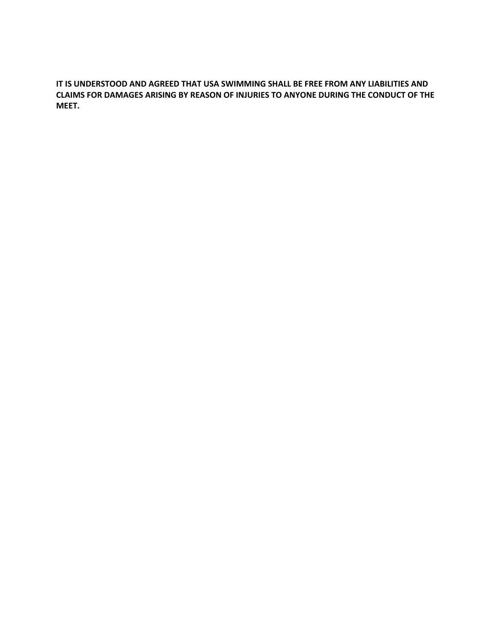IT IS UNDERSTOOD AND AGREED THAT USA SWIMMING SHALL BE FREE FROM ANY LIABILITIES AND **CLAIMS FOR DAMAGES ARISING BY REASON OF INJURIES TO ANYONE DURING THE CONDUCT OF THE MEET.**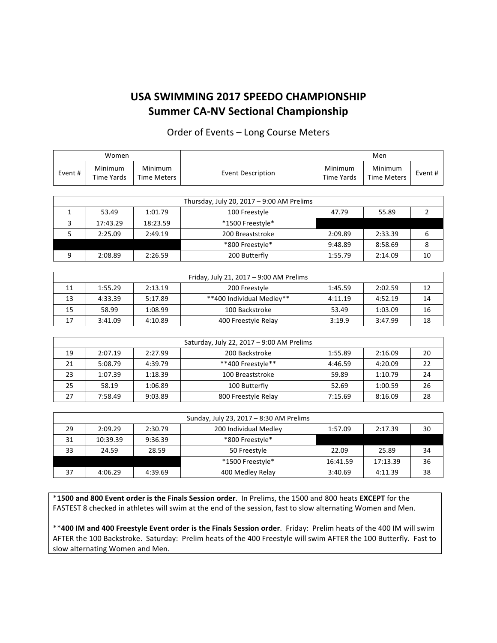### Order of Events - Long Course Meters

|         | Women                 |                               |                   |                              | Men                           |        |
|---------|-----------------------|-------------------------------|-------------------|------------------------------|-------------------------------|--------|
| Event # | Minimum<br>Time Yards | Minimum<br><b>Time Meters</b> | Event Description | Minimum<br><b>Time Yards</b> | Minimum<br><b>Time Meters</b> | Event# |
|         |                       |                               |                   |                              |                               |        |

|                                       | Thursday, July 20, 2017 - 9:00 AM Prelims |          |                  |         |         |    |
|---------------------------------------|-------------------------------------------|----------|------------------|---------|---------|----|
|                                       | 53.49                                     | 1:01.79  | 100 Freestyle    | 47.79   | 55.89   |    |
|                                       | 17:43.29                                  | 18:23.59 | *1500 Freestyle* |         |         |    |
|                                       | 2:25.09                                   | 2:49.19  | 200 Breaststroke | 2:09.89 | 2:33.39 |    |
| *800 Freestyle*<br>9:48.89<br>8:58.69 |                                           |          |                  |         |         |    |
|                                       | 2:08.89                                   | 2:26.59  | 200 Butterfly    | 1:55.79 | 2:14.09 | 10 |

|    | Friday, July 21, 2017 – 9:00 AM Prelims |         |                           |         |         |    |
|----|-----------------------------------------|---------|---------------------------|---------|---------|----|
| 11 | 1:55.29                                 | 2:13.19 | 200 Freestyle             | 1:45.59 | 2:02.59 | 12 |
| 13 | 4:33.39                                 | 5:17.89 | **400 Individual Medlev** | 4:11.19 | 4:52.19 | 14 |
| 15 | 58.99                                   | 1:08.99 | 100 Backstroke            | 53.49   | 1:03.09 | 16 |
| 17 | 3:41.09                                 | 4:10.89 | 400 Freestyle Relay       | 3:19.9  | 3:47.99 | 18 |

|    | Saturday, July 22, 2017 - 9:00 AM Prelims |         |                     |         |         |    |
|----|-------------------------------------------|---------|---------------------|---------|---------|----|
| 19 | 2:07.19                                   | 2:27.99 | 200 Backstroke      | 1:55.89 | 2:16.09 | 20 |
| 21 | 5:08.79                                   | 4:39.79 | **400 Freestyle**   | 4:46.59 | 4:20.09 | 22 |
| 23 | 1:07.39                                   | 1:18.39 | 100 Breaststroke    | 59.89   | 1:10.79 | 24 |
| 25 | 58.19                                     | 1:06.89 | 100 Butterfly       | 52.69   | 1:00.59 | 26 |
|    | 7:58.49                                   | 9:03.89 | 800 Freestyle Relay | 7:15.69 | 8:16.09 | 28 |

|                                                | Sunday, July 23, 2017 - 8:30 AM Prelims                           |         |                  |         |         |    |
|------------------------------------------------|-------------------------------------------------------------------|---------|------------------|---------|---------|----|
| 29                                             | 1:57.09<br>2:09.29<br>200 Individual Medley<br>2:30.79<br>2:17.39 |         | 30               |         |         |    |
| 31                                             | 10:39.39                                                          | 9:36.39 | *800 Freestyle*  |         |         |    |
| 33<br>24.59<br>28.59<br>50 Freestyle           |                                                                   | 22.09   | 25.89            | 34      |         |    |
| 36<br>*1500 Freestyle*<br>17:13.39<br>16:41.59 |                                                                   |         |                  |         |         |    |
| 37                                             | 4:06.29                                                           | 4:39.69 | 400 Medley Relay | 3:40.69 | 4:11.39 | 38 |

\***1500 and 800 Event order is the Finals Session order**. In Prelims, the 1500 and 800 heats **EXCEPT** for the FASTEST 8 checked in athletes will swim at the end of the session, fast to slow alternating Women and Men.

\*\*400 IM and 400 Freestyle Event order is the Finals Session order. Friday: Prelim heats of the 400 IM will swim AFTER the 100 Backstroke. Saturday: Prelim heats of the 400 Freestyle will swim AFTER the 100 Butterfly. Fast to slow alternating Women and Men.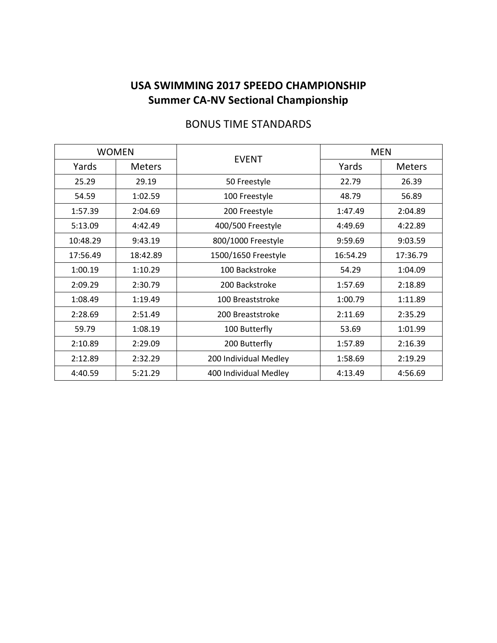| <b>WOMEN</b> |               |                       | <b>MEN</b> |               |  |
|--------------|---------------|-----------------------|------------|---------------|--|
| Yards        | <b>Meters</b> | <b>EVENT</b>          | Yards      | <b>Meters</b> |  |
| 25.29        | 29.19         | 50 Freestyle          | 22.79      | 26.39         |  |
| 54.59        | 1:02.59       | 100 Freestyle         | 48.79      | 56.89         |  |
| 1:57.39      | 2:04.69       | 200 Freestyle         | 1:47.49    | 2:04.89       |  |
| 5:13.09      | 4:42.49       | 400/500 Freestyle     | 4:49.69    | 4:22.89       |  |
| 10:48.29     | 9:43.19       | 800/1000 Freestyle    | 9:59.69    | 9:03.59       |  |
| 17:56.49     | 18:42.89      | 1500/1650 Freestyle   | 16:54.29   | 17:36.79      |  |
| 1:00.19      | 1:10.29       | 100 Backstroke        | 54.29      | 1:04.09       |  |
| 2:09.29      | 2:30.79       | 200 Backstroke        | 1:57.69    | 2:18.89       |  |
| 1:08.49      | 1:19.49       | 100 Breaststroke      | 1:00.79    | 1:11.89       |  |
| 2:28.69      | 2:51.49       | 200 Breaststroke      | 2:11.69    | 2:35.29       |  |
| 59.79        | 1:08.19       | 100 Butterfly         | 53.69      | 1:01.99       |  |
| 2:10.89      | 2:29.09       | 200 Butterfly         | 1:57.89    | 2:16.39       |  |
| 2:12.89      | 2:32.29       | 200 Individual Medley | 1:58.69    | 2:19.29       |  |
| 4:40.59      | 5:21.29       | 400 Individual Medley | 4:13.49    | 4:56.69       |  |

# **BONUS TIME STANDARDS**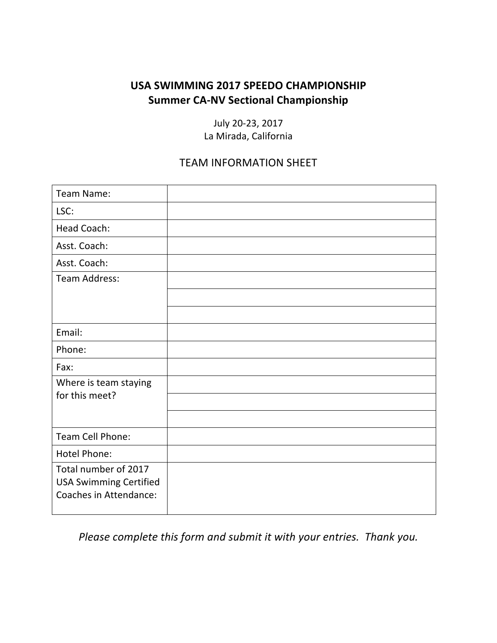July 20-23, 2017 La Mirada, California

## **TEAM INFORMATION SHEET**

| Team Name:                                              |  |
|---------------------------------------------------------|--|
| LSC:                                                    |  |
| Head Coach:                                             |  |
| Asst. Coach:                                            |  |
| Asst. Coach:                                            |  |
| <b>Team Address:</b>                                    |  |
|                                                         |  |
|                                                         |  |
| Email:                                                  |  |
| Phone:                                                  |  |
| Fax:                                                    |  |
| Where is team staying                                   |  |
| for this meet?                                          |  |
|                                                         |  |
| Team Cell Phone:                                        |  |
| <b>Hotel Phone:</b>                                     |  |
| Total number of 2017                                    |  |
| <b>USA Swimming Certified</b><br>Coaches in Attendance: |  |
|                                                         |  |

Please complete this form and submit it with your entries. Thank you.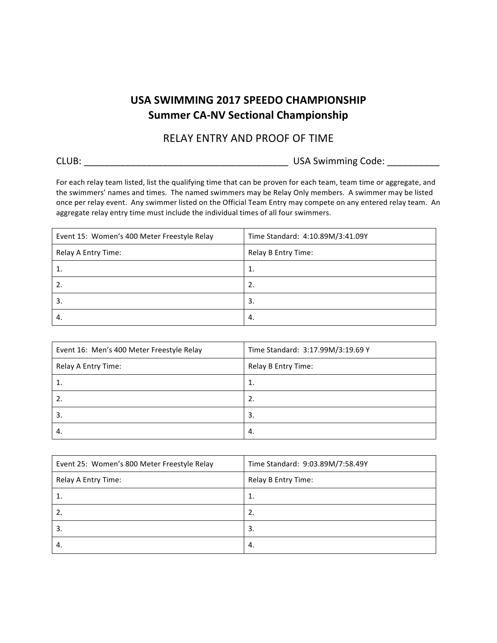## RELAY ENTRY AND PROOF OF TIME

|  | × |
|--|---|

USA Swimming Code: \_\_\_\_\_\_\_\_\_\_

For each relay team listed, list the qualifying time that can be proven for each team, team time or aggregate, and the swimmers' names and times. The named swimmers may be Relay Only members. A swimmer may be listed once per relay event. Any swimmer listed on the Official Team Entry may compete on any entered relay team. An aggregate relay entry time must include the individual times of all four swimmers.

| Event 15: Women's 400 Meter Freestyle Relay | Time Standard: 4:10.89M/3:41.09Y |
|---------------------------------------------|----------------------------------|
| Relay A Entry Time:                         | Relay B Entry Time:              |
| 1.                                          | 1.                               |
|                                             | 2.                               |
| 3.                                          | 3.                               |
| 4.                                          | 4.                               |

| Event 16: Men's 400 Meter Freestyle Relay | Time Standard: 3:17.99M/3:19.69 Y |
|-------------------------------------------|-----------------------------------|
| Relay A Entry Time:                       | Relay B Entry Time:               |
|                                           | 1.                                |
|                                           | 2.                                |
| 3.                                        | 3.                                |
| -4.                                       | 4.                                |

| Event 25: Women's 800 Meter Freestyle Relay | Time Standard: 9:03.89M/7:58.49Y |
|---------------------------------------------|----------------------------------|
| Relay A Entry Time:                         | Relay B Entry Time:              |
|                                             | 1.                               |
| 2.                                          | 2.                               |
| 3.                                          | 3.                               |
| 4.                                          | -4.                              |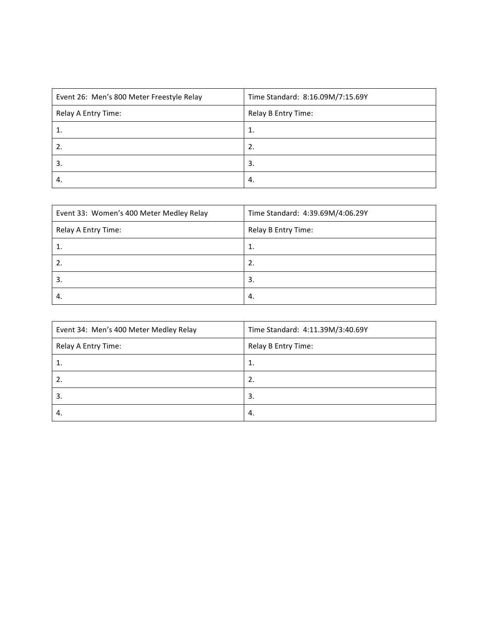| Event 26: Men's 800 Meter Freestyle Relay | Time Standard: 8:16.09M/7:15.69Y |  |
|-------------------------------------------|----------------------------------|--|
| Relay A Entry Time:                       | Relay B Entry Time:              |  |
| 1.                                        | 1.                               |  |
|                                           | 2.                               |  |
| 3.                                        | 3.                               |  |
| 4.                                        | 4.                               |  |

| Event 33: Women's 400 Meter Medley Relay | Time Standard: 4:39.69M/4:06.29Y |  |
|------------------------------------------|----------------------------------|--|
| Relay A Entry Time:                      | Relay B Entry Time:              |  |
|                                          | 1.                               |  |
| $\overline{2}$                           | 2.                               |  |
| 3.                                       | 3.                               |  |
| -4.                                      | 4.                               |  |

| Event 34: Men's 400 Meter Medley Relay | Time Standard: 4:11.39M/3:40.69Y |  |
|----------------------------------------|----------------------------------|--|
| Relay A Entry Time:                    | Relay B Entry Time:              |  |
| ι.                                     | 1.                               |  |
| 2.                                     | 2.                               |  |
| 3.                                     | 3.                               |  |
| -4.                                    | 4.                               |  |